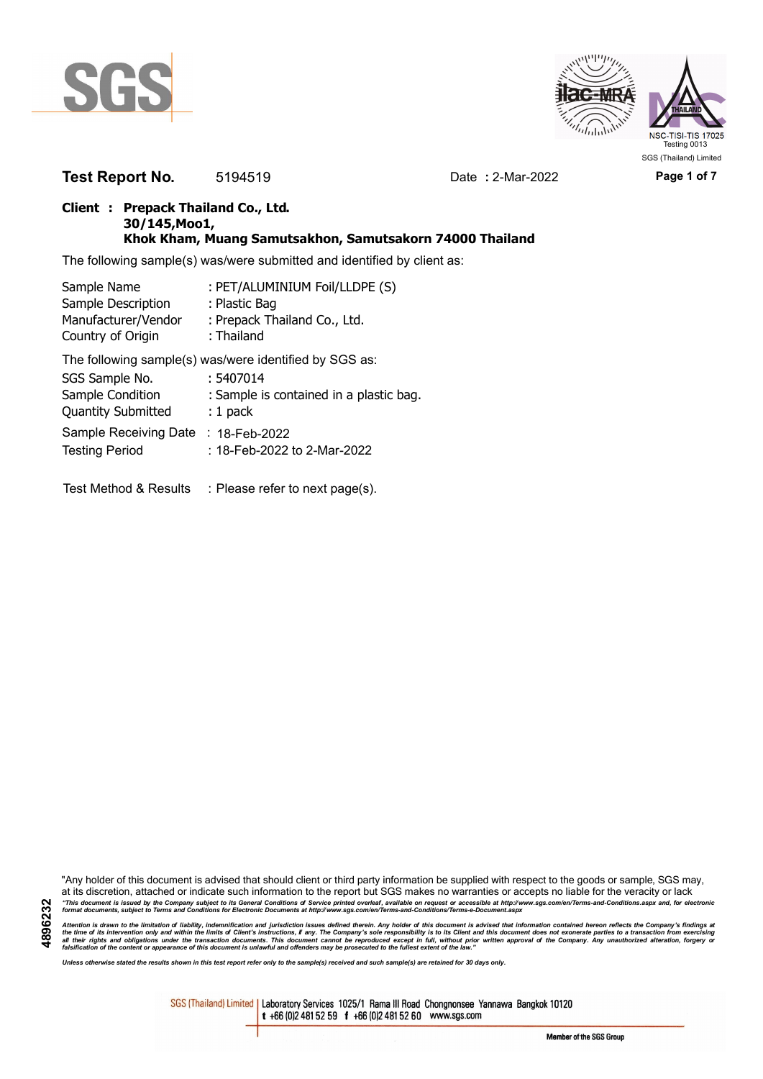



**Test Report No.** 5194519 Date **:** 2-Mar-2022 **Page 1 of 7**

### **Client : Prepack Thailand Co., Ltd. 30/145,Moo1, Khok Kham, Muang Samutsakhon, Samutsakorn 74000 Thailand**

The following sample(s) was/were submitted and identified by client as:

| : PET/ALUMINIUM Foil/LLDPE (S)                         |
|--------------------------------------------------------|
| : Plastic Bag                                          |
| : Prepack Thailand Co., Ltd.                           |
| : Thailand                                             |
| The following sample(s) was/were identified by SGS as: |
| : 5407014                                              |
| : Sample is contained in a plastic bag.                |
| $: 1$ pack                                             |
| : $18$ -Feb-2022                                       |
| : 18-Feb-2022 to 2-Mar-2022                            |
|                                                        |

Test Method & Results : Please refer to next page(s).

"Any holder of this document is advised that should client or third party information be supplied with respect to the goods or sample, SGS may, at its discretion, attached or indicate such information to the report but SGS makes no warranties or accepts no liable for the veracity or lack "This document is issued by the Company subject to its General Conditions of Service printed overleaf, available on request or accessible at http://www.sgs.com/en/Terms-and-Conditions.aspx and, for electronic<br>format docume

Attention is drawn to the limitation of liability, indemnification and jurisdiction issues defined therein. Any holder of this document is advised that information contained hereon reflects the Company's findings at<br>all th

*Unless otherwise stated the results shown in this test report refer only to the sample(s) received and such sample(s) are retained for 30 days only.*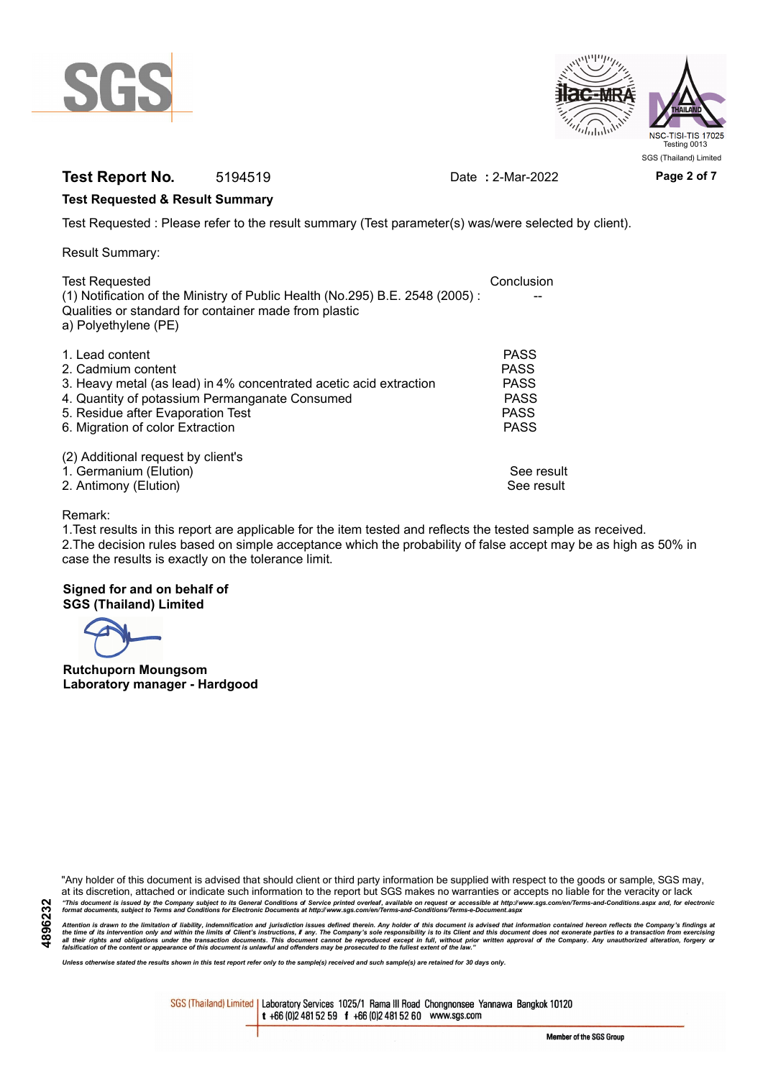



# **Test Report No.** 5194519 Date **:** 2-Mar-2022 **Page 2 of 7**

#### **Test Requested & Result Summary**

Test Requested : Please refer to the result summary (Test parameter(s) was/were selected by client).

Result Summary:

| Conclusion  |
|-------------|
|             |
|             |
|             |
| <b>PASS</b> |
| <b>PASS</b> |
| <b>PASS</b> |
| <b>PASS</b> |
| <b>PASS</b> |
| <b>PASS</b> |
|             |
|             |
| See result  |
| See result  |
|             |

#### Remark:

1.Test results in this report are applicable for the item tested and reflects the tested sample as received. 2.The decision rules based on simple acceptance which the probability of false accept may be as high as 50% in case the results is exactly on the tolerance limit.

#### **Signed for and on behalf of SGS (Thailand) Limited**

**Rutchuporn Moungsom Laboratory manager - Hardgood**

"Any holder of this document is advised that should client or third party information be supplied with respect to the goods or sample, SGS may, at its discretion, attached or indicate such information to the report but SGS makes no warranties or accepts no liable for the veracity or lack "This document is issued by the Company subject to its General Conditions of Service printed overleaf, available on request or accessible at http://www.sgs.com/en/Terms-and-Conditions.aspx and, for electronic<br>format docume

Attention is drawn to the limitation of liability, indemnification and jurisdiction issues defined therein. Any holder of this document is advised that information contained hereon reflects the Company's findings at<br>all th

*Unless otherwise stated the results shown in this test report refer only to the sample(s) received and such sample(s) are retained for 30 days only.*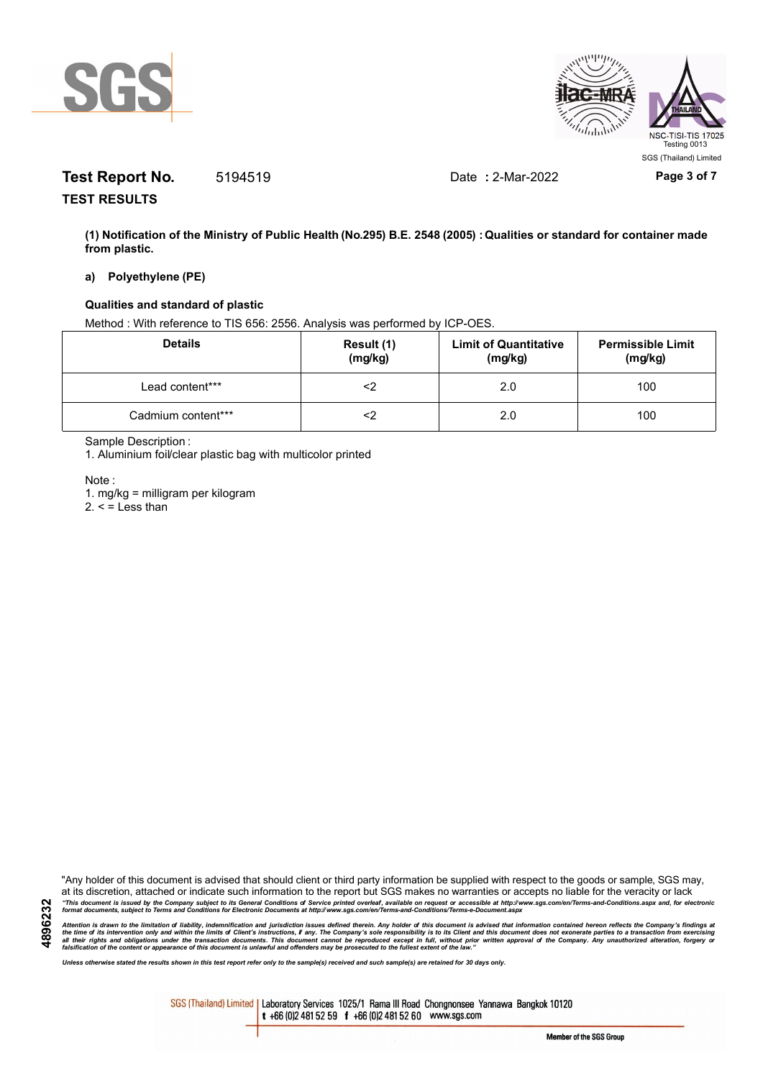



# **Test Report No.** 5194519 Date **:** 2-Mar-2022 **Page 3 of 7**

**TEST RESULTS**

**(1) Notification of the Ministry of Public Health (No.295) B.E. 2548 (2005) : Qualities or standard for container made from plastic.**

#### **a) Polyethylene (PE)**

#### **Qualities and standard of plastic**

Method : With reference to TIS 656: 2556. Analysis was performed by ICP-OES.

| <b>Details</b>     | Result (1)<br>(mg/kg) | <b>Limit of Quantitative</b><br>(mg/kg) | <b>Permissible Limit</b><br>(mg/kg) |
|--------------------|-----------------------|-----------------------------------------|-------------------------------------|
| Lead content***    | ≤>                    | 2.0                                     | 100                                 |
| Cadmium content*** | ∠>                    | 2.0                                     | 100                                 |

Sample Description :

1. Aluminium foil/clear plastic bag with multicolor printed

Note :

1. mg/kg = milligram per kilogram

 $2. <$  = Less than

"Any holder of this document is advised that should client or third party information be supplied with respect to the goods or sample, SGS may, at its discretion, attached or indicate such information to the report but SGS makes no warranties or accepts no liable for the veracity or lack "This document is issued by the Company subject to its General Conditions of Service printed overleaf, available on request or accessible at http://www.sgs.com/en/Terms-and-Conditions.aspx and, for electronic<br>format docume

Attention is drawn to the limitation of liability, indemnification and jurisdiction issues defined therein. Any holder of this document is advised that information contained hereon reflects the Company's findings at<br>all th

*Unless otherwise stated the results shown in this test report refer only to the sample(s) received and such sample(s) are retained for 30 days only.*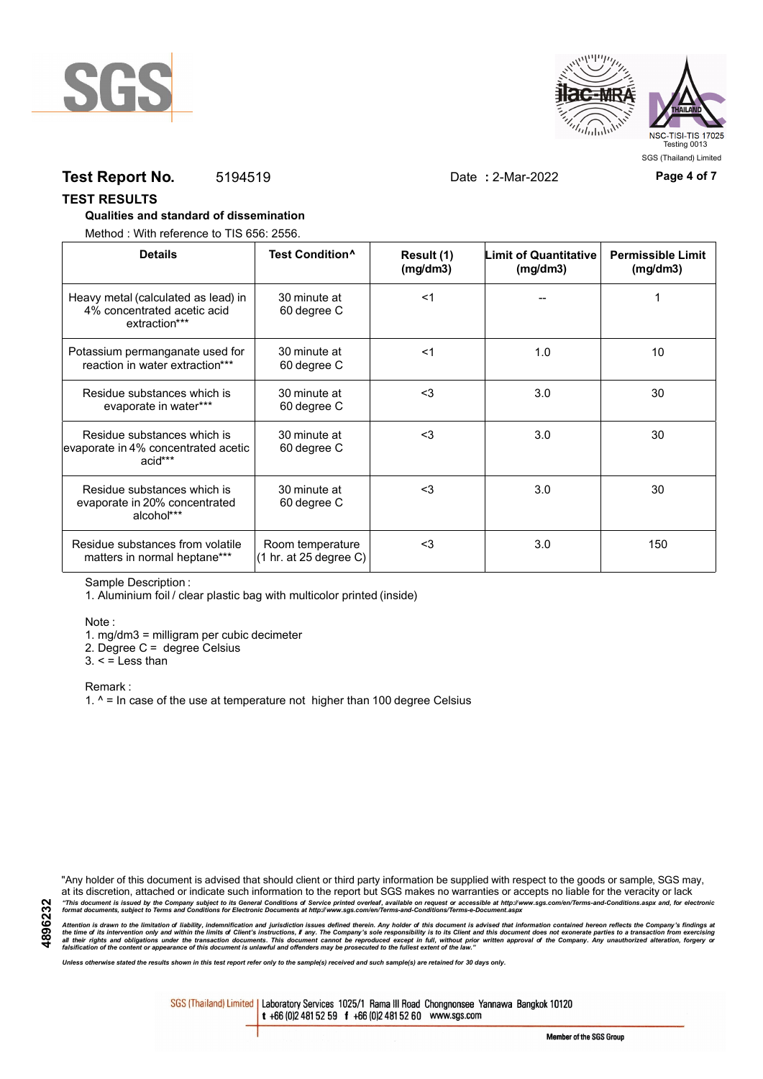



### **Test Report No.** 5194519 Date **:** 2-Mar-2022 **Page 4 of 7**

#### **TEST RESULTS**

#### **Qualities and standard of dissemination**

Method : With reference to TIS 656: 2556.

| <b>Details</b>                                                                      | Test Condition <sup>^</sup>                | Result (1)<br>(mg/dm3) | Limit of Quantitative<br>(mg/dm3) | <b>Permissible Limit</b><br>(mg/dm3) |
|-------------------------------------------------------------------------------------|--------------------------------------------|------------------------|-----------------------------------|--------------------------------------|
| Heavy metal (calculated as lead) in<br>4% concentrated acetic acid<br>extraction*** | 30 minute at<br>60 degree C                | $<$ 1                  |                                   |                                      |
| Potassium permanganate used for<br>reaction in water extraction***                  | 30 minute at<br>60 degree C                | $<$ 1                  | 1.0                               | 10                                   |
| Residue substances which is<br>evaporate in water***                                | 30 minute at<br>60 degree C                | $3$                    | 3.0                               | 30                                   |
| Residue substances which is<br>evaporate in 4% concentrated acetic<br>acid***       | 30 minute at<br>60 degree C                | <3                     | 3.0                               | 30                                   |
| Residue substances which is<br>evaporate in 20% concentrated<br>alcohol***          | 30 minute at<br>60 degree C                | $<$ 3                  | 3.0                               | 30                                   |
| Residue substances from volatile<br>matters in normal heptane***                    | Room temperature<br>(1 hr. at 25 degree C) | $3$                    | 3.0                               | 150                                  |

Sample Description :

1. Aluminium foil / clear plastic bag with multicolor printed (inside)

Note :

1. mg/dm3 = milligram per cubic decimeter

2. Degree C = degree Celsius

 $3. <$  = Less than

Remark :

1.  $^{\circ}$  = In case of the use at temperature not higher than 100 degree Celsius

"Any holder of this document is advised that should client or third party information be supplied with respect to the goods or sample, SGS may, at its discretion, attached or indicate such information to the report but SGS makes no warranties or accepts no liable for the veracity or lack "This document is issued by the Company subject to its General Conditions of Service printed overleaf, available on request or accessible at http://www.sgs.com/en/Terms-and-Conditions.aspx and, for electronic<br>format docume

Attention is drawn to the limitation of liability, indemnification and jurisdiction issues defined therein. Any holder of this document is advised that information contained hereon reflects the Company's findings at<br>all th

*Unless otherwise stated the results shown in this test report refer only to the sample(s) received and such sample(s) are retained for 30 days only.*

SGS (Thailand) Limited | Laboratory Services 1025/1 Rama III Road Chongnonsee Yannawa Bangkok 10120 t +66 (0)2 481 52 59 f +66 (0)2 481 52 60 www.sgs.com

Member of the SGS Group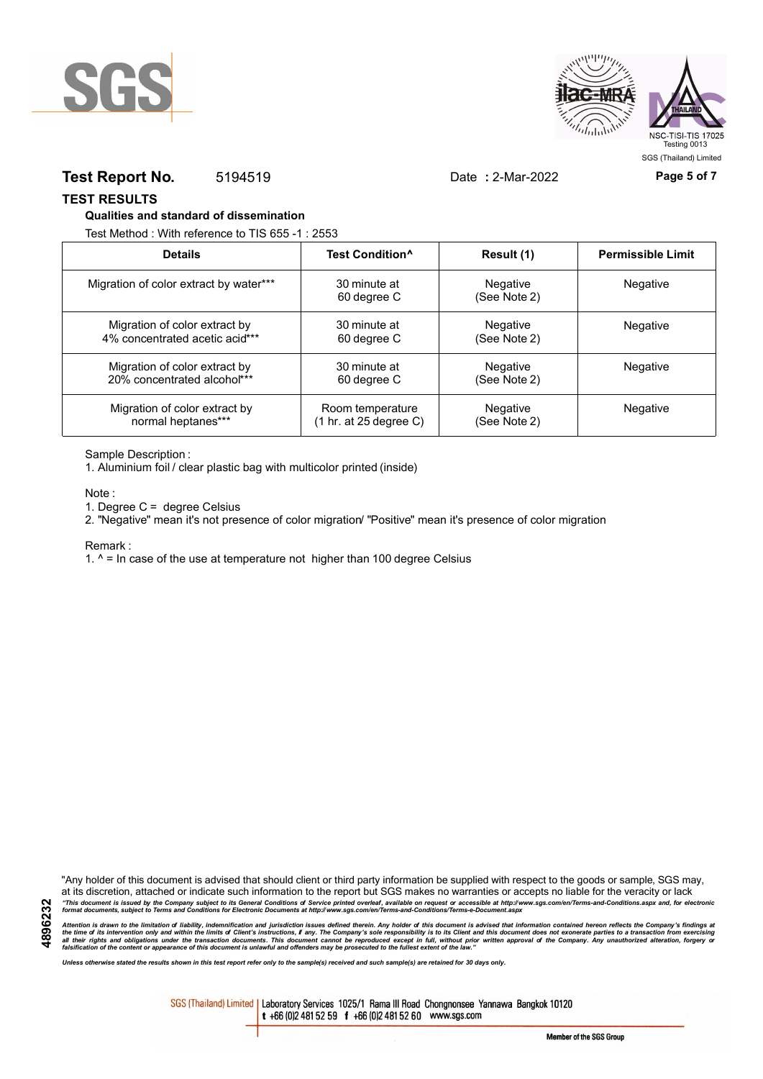



### **Test Report No.** 5194519 Date **:** 2-Mar-2022 **Page 5 of 7**

**TEST RESULTS**

#### **Qualities and standard of dissemination**

Test Method : With reference to TIS 655 -1 : 2553

| <b>Details</b>                         | Test Condition <sup>^</sup> | Result (1)               | <b>Permissible Limit</b> |
|----------------------------------------|-----------------------------|--------------------------|--------------------------|
| Migration of color extract by water*** | 30 minute at<br>60 degree C | Negative<br>(See Note 2) | Negative                 |
| Migration of color extract by          | 30 minute at                | Negative                 | <b>Negative</b>          |
| 4% concentrated acetic acid***         | 60 degree C                 | (See Note 2)             |                          |
| Migration of color extract by          | 30 minute at                | Negative                 | <b>Negative</b>          |
| 20% concentrated alcohol***            | 60 degree C                 | (See Note 2)             |                          |
| Migration of color extract by          | Room temperature            | Negative                 | Negative                 |
| normal heptanes***                     | (1 hr. at 25 degree C)      | (See Note 2)             |                          |

Sample Description :

1. Aluminium foil / clear plastic bag with multicolor printed (inside)

Note :

1. Degree C = degree Celsius

2. "Negative" mean it's not presence of color migration/ "Positive" mean it's presence of color migration

#### Remark :

1.  $^{\circ}$  = In case of the use at temperature not higher than 100 degree Celsius

"Any holder of this document is advised that should client or third party information be supplied with respect to the goods or sample, SGS may, at its discretion, attached or indicate such information to the report but SGS makes no warranties or accepts no liable for the veracity or lack "This document is issued by the Company subject to its General Conditions of Service printed overleaf, available on request or accessible at http://www.sgs.com/en/Terms-and-Conditions.aspx and, for electronic<br>format docume

Attention is drawn to the limitation of liability, indemnification and jurisdiction issues defined therein. Any holder of this document is advised that information contained hereon reflects the Company's findings at<br>all th

*Unless otherwise stated the results shown in this test report refer only to the sample(s) received and such sample(s) are retained for 30 days only.*

SGS (Thailand) Limited | Laboratory Services 1025/1 Rama III Road Chongnonsee Yannawa Bangkok 10120 t +66 (0)2 481 52 59 f +66 (0)2 481 52 60 www.sgs.com

**4896232**

Member of the SGS Group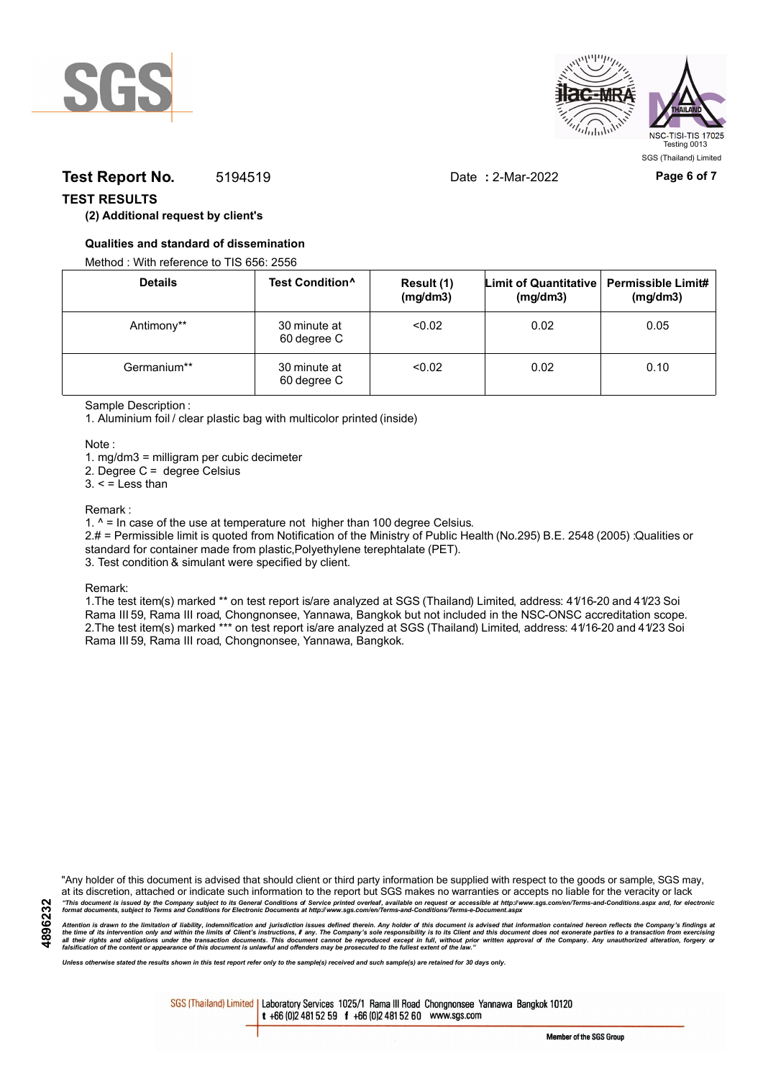



# **Test Report No.** 5194519 Date **:** 2-Mar-2022 **Page 6 of 7**

### **TEST RESULTS**

### **(2) Additional request by client's**

#### **Qualities and standard of dissemination**

Method : With reference to TIS 656: 2556

| <b>Details</b> | Test Condition <sup>^</sup> | Result (1)<br>(mg/dm3) | Limit of Quantitative   Permissible Limit#<br>(mg/dm3) | (mg/dm3) |
|----------------|-----------------------------|------------------------|--------------------------------------------------------|----------|
| Antimony**     | 30 minute at<br>60 degree C | < 0.02                 | 0.02                                                   | 0.05     |
| Germanium**    | 30 minute at<br>60 degree C | < 0.02                 | 0.02                                                   | 0.10     |

#### Sample Description :

1. Aluminium foil / clear plastic bag with multicolor printed (inside)

Note :

1. mg/dm3 = milligram per cubic decimeter

2. Degree C = degree Celsius

 $3. <$  = Less than

#### Remark :

1.  $^{\circ}$  = In case of the use at temperature not higher than 100 degree Celsius.

2.# = Permissible limit is quoted from Notification of the Ministry of Public Health (No.295) B.E. 2548 (2005) :Qualities or standard for container made from plastic,Polyethylene terephtalate (PET).

3. Test condition & simulant were specified by client.

Remark:

1.The test item(s) marked \*\* on test report is/are analyzed at SGS (Thailand) Limited, address: 41/16-20 and 41/23 Soi Rama III 59, Rama III road, Chongnonsee, Yannawa, Bangkok but not included in the NSC-ONSC accreditation scope. 2.The test item(s) marked \*\*\* on test report is/are analyzed at SGS (Thailand) Limited, address: 41/16-20 and 41/23 Soi Rama III 59, Rama III road, Chongnonsee, Yannawa, Bangkok.

**4896232**

"Any holder of this document is advised that should client or third party information be supplied with respect to the goods or sample, SGS may, at its discretion, attached or indicate such information to the report but SGS makes no warranties or accepts no liable for the veracity or lack "This document is issued by the Company subject to its General Conditions of Service printed overleaf, available on request or accessible at http://www.sgs.com/en/Terms-and-Conditions.aspx and, for electronic<br>format docume

Attention is drawn to the limitation of liability, indemnification and jurisdiction issues defined therein. Any holder of this document is advised that information contained hereon reflects the Company's findings at<br>all th

*Unless otherwise stated the results shown in this test report refer only to the sample(s) received and such sample(s) are retained for 30 days only.*